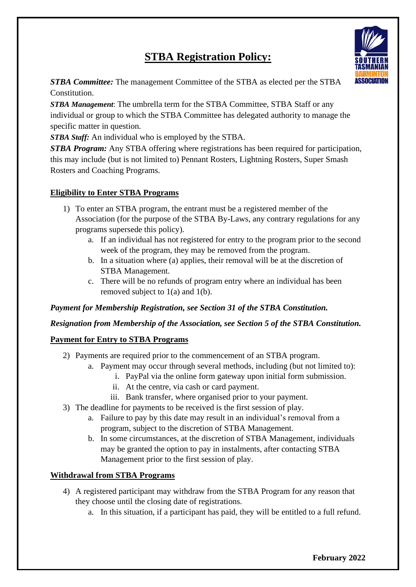# **STBA Registration Policy:**



*STBA Committee:* The management Committee of the STBA as elected per the STBA Constitution.

*STBA Management*: The umbrella term for the STBA Committee, STBA Staff or any individual or group to which the STBA Committee has delegated authority to manage the specific matter in question.

*STBA Staff:* An individual who is employed by the STBA.

*STBA Program:* Any STBA offering where registrations has been required for participation, this may include (but is not limited to) Pennant Rosters, Lightning Rosters, Super Smash Rosters and Coaching Programs.

## **Eligibility to Enter STBA Programs**

- 1) To enter an STBA program, the entrant must be a registered member of the Association (for the purpose of the STBA By-Laws, any contrary regulations for any programs supersede this policy).
	- a. If an individual has not registered for entry to the program prior to the second week of the program, they may be removed from the program.
	- b. In a situation where (a) applies, their removal will be at the discretion of STBA Management.
	- c. There will be no refunds of program entry where an individual has been removed subject to  $1(a)$  and  $1(b)$ .

## *Payment for Membership Registration, see Section 31 of the STBA Constitution.*

#### *Resignation from Membership of the Association, see Section 5 of the STBA Constitution.*

#### **Payment for Entry to STBA Programs**

- 2) Payments are required prior to the commencement of an STBA program.
	- a. Payment may occur through several methods, including (but not limited to):
		- i. PayPal via the online form gateway upon initial form submission.
		- ii. At the centre, via cash or card payment.
		- iii. Bank transfer, where organised prior to your payment.
- 3) The deadline for payments to be received is the first session of play.
	- a. Failure to pay by this date may result in an individual's removal from a program, subject to the discretion of STBA Management.
	- b. In some circumstances, at the discretion of STBA Management, individuals may be granted the option to pay in instalments, after contacting STBA Management prior to the first session of play.

## **Withdrawal from STBA Programs**

- 4) A registered participant may withdraw from the STBA Program for any reason that they choose until the closing date of registrations.
	- a. In this situation, if a participant has paid, they will be entitled to a full refund.